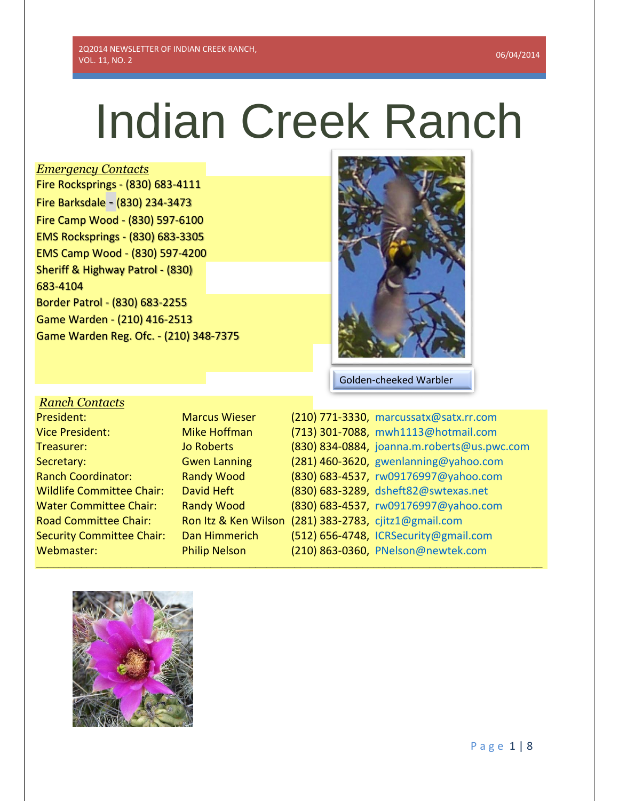# Indian Creek Ranch

## *Emergency Contacts*

Fire Rocksprings - (830) 683-4111 Fire Barksdale - (830) 234-3473 Fire Camp Wood - (830) 597-6100 EMS Rocksprings - (830) 683-3305 EMS Camp Wood - (830) 597-4200 Sheriff & Highway Patrol - (830) 683-4104 Border Patrol - (830) 683-2255 Game Warden - (210) 416-2513 Game Warden Reg. Ofc. - (210) 348-7375



Golden-cheeked Warbler

| <b>Ranch Contacts</b>            |
|----------------------------------|
| President:                       |
| <b>Vice President:</b>           |
| Treasurer:                       |
| Secretary:                       |
| <b>Ranch Coordinator:</b>        |
| <b>Wildlife Committee Chair:</b> |
| Water Committee Chair:           |
| <b>Road Committee Chair:</b>     |
| <b>Security Committee Chair:</b> |
| Webmaster:                       |

**\_\_\_\_\_\_\_\_\_\_\_\_\_\_\_\_\_\_\_\_\_\_\_\_\_\_\_\_\_\_\_\_\_\_\_\_\_\_\_\_\_\_\_\_\_\_\_\_\_\_\_\_\_\_\_\_\_\_\_\_\_\_\_\_\_\_\_\_\_\_\_\_\_\_\_\_\_\_\_\_\_\_\_\_\_\_\_\_\_\_**

| President:                       | <b>Marcus Wieser</b> | (210) 771-3330, marcussatx@satx.rr.com      |
|----------------------------------|----------------------|---------------------------------------------|
| <b>Vice President:</b>           | Mike Hoffman         | (713) 301-7088, mwh1113@hotmail.com         |
| Treasurer:                       | Jo Roberts           | (830) 834-0884, joanna.m.roberts@us.pwc.com |
| Secretary:                       | <b>Gwen Lanning</b>  | (281) 460-3620, gwenlanning@yahoo.com       |
| <b>Ranch Coordinator:</b>        | <b>Randy Wood</b>    | (830) 683-4537, rw09176997@yahoo.com        |
| <b>Wildlife Committee Chair:</b> | David Heft           | (830) 683-3289, dsheft82@swtexas.net        |
| <b>Water Committee Chair:</b>    | <b>Randy Wood</b>    | (830) 683-4537, rw09176997@yahoo.com        |
| <b>Road Committee Chair:</b>     | Ron Itz & Ken Wilson | (281) 383-2783, cjitz1@gmail.com            |
| <b>Security Committee Chair:</b> | Dan Himmerich        | (512) 656-4748, ICRSecurity@gmail.com       |
| Webmaster:                       | <b>Philip Nelson</b> | (210) 863-0360, PNelson@newtek.com          |

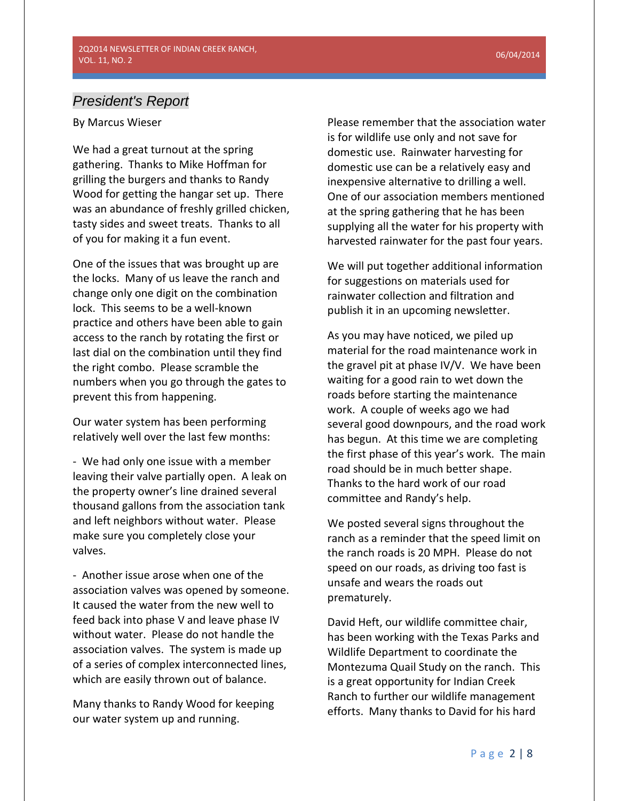# *President's Report*

By Marcus Wieser

We had a great turnout at the spring gathering. Thanks to Mike Hoffman for grilling the burgers and thanks to Randy Wood for getting the hangar set up. There was an abundance of freshly grilled chicken, tasty sides and sweet treats. Thanks to all of you for making it a fun event.

One of the issues that was brought up are the locks. Many of us leave the ranch and change only one digit on the combination lock. This seems to be a well-known practice and others have been able to gain access to the ranch by rotating the first or last dial on the combination until they find the right combo. Please scramble the numbers when you go through the gates to prevent this from happening.

Our water system has been performing relatively well over the last few months:

- We had only one issue with a member leaving their valve partially open. A leak on the property owner's line drained several thousand gallons from the association tank and left neighbors without water. Please make sure you completely close your valves.

- Another issue arose when one of the association valves was opened by someone. It caused the water from the new well to feed back into phase V and leave phase IV without water. Please do not handle the association valves. The system is made up of a series of complex interconnected lines, which are easily thrown out of balance.

Many thanks to Randy Wood for keeping our water system up and running.

Please remember that the association water is for wildlife use only and not save for domestic use. Rainwater harvesting for domestic use can be a relatively easy and inexpensive alternative to drilling a well. One of our association members mentioned at the spring gathering that he has been supplying all the water for his property with harvested rainwater for the past four years.

We will put together additional information for suggestions on materials used for rainwater collection and filtration and publish it in an upcoming newsletter.

As you may have noticed, we piled up material for the road maintenance work in the gravel pit at phase IV/V. We have been waiting for a good rain to wet down the roads before starting the maintenance work. A couple of weeks ago we had several good downpours, and the road work has begun. At this time we are completing the first phase of this year's work. The main road should be in much better shape. Thanks to the hard work of our road committee and Randy's help.

We posted several signs throughout the ranch as a reminder that the speed limit on the ranch roads is 20 MPH. Please do not speed on our roads, as driving too fast is unsafe and wears the roads out prematurely.

David Heft, our wildlife committee chair, has been working with the Texas Parks and Wildlife Department to coordinate the Montezuma Quail Study on the ranch. This is a great opportunity for Indian Creek Ranch to further our wildlife management efforts. Many thanks to David for his hard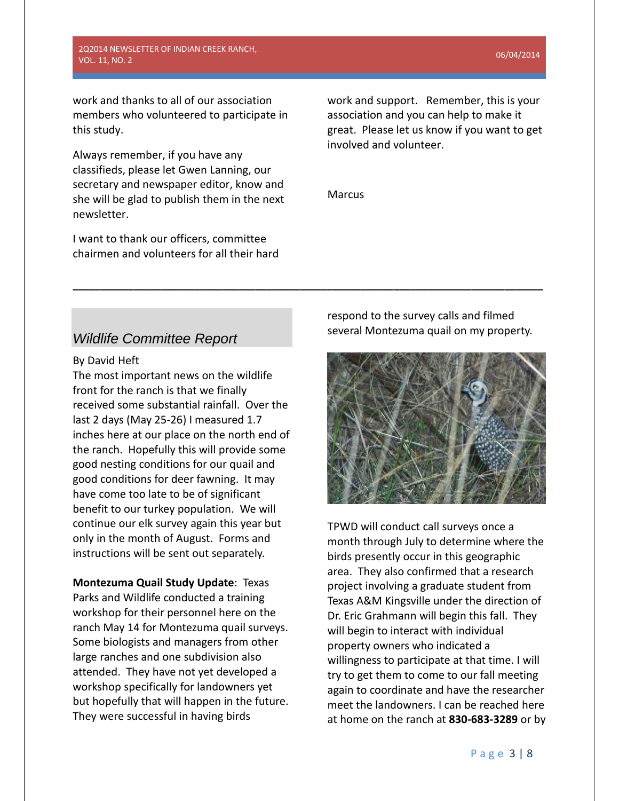2Q2014 NEWSLETTER OF INDIAN CREEK RANCH, VOL. 11, NO. 2 06/04/2014

work and thanks to all of our association members who volunteered to participate in this study.

Always remember, if you have any classifieds, please let Gwen Lanning, our secretary and newspaper editor, know and she will be glad to publish them in the next newsletter.

I want to thank our officers, committee chairmen and volunteers for all their hard work and support. Remember, this is your association and you can help to make it great. Please let us know if you want to get involved and volunteer.

Marcus

**\_\_\_\_\_\_\_\_\_\_\_\_\_\_\_\_\_\_\_\_\_\_\_\_\_\_\_\_\_\_\_\_\_\_\_\_\_\_\_\_\_\_\_\_\_\_\_\_\_\_\_\_\_\_\_\_\_\_\_\_\_\_\_\_\_\_\_\_\_\_\_\_\_\_\_\_\_\_\_\_\_\_\_\_\_**

# *Wildlife Committee Report*

By David Heft

The most important news on the wildlife front for the ranch is that we finally received some substantial rainfall. Over the last 2 days (May 25-26) I measured 1.7 inches here at our place on the north end of the ranch. Hopefully this will provide some good nesting conditions for our quail and good conditions for deer fawning. It may have come too late to be of significant benefit to our turkey population. We will continue our elk survey again this year but only in the month of August. Forms and instructions will be sent out separately.

**Montezuma Quail Study Update**: Texas Parks and Wildlife conducted a training workshop for their personnel here on the ranch May 14 for Montezuma quail surveys. Some biologists and managers from other large ranches and one subdivision also attended. They have not yet developed a workshop specifically for landowners yet but hopefully that will happen in the future. They were successful in having birds

respond to the survey calls and filmed several Montezuma quail on my property.



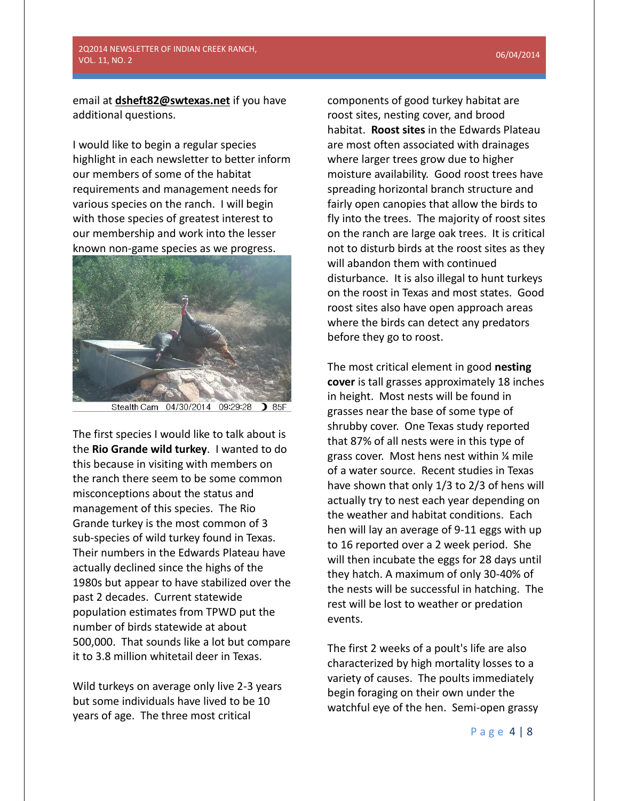## 2Q2014 NEWSLETTER OF INDIAN CREEK RANCH, VOL. 11, NO. 2 06/04/2014

email at **[dsheft82@swtexas.net](mailto:dsheft82@swtexas.net)** if you have additional questions.

I would like to begin a regular species highlight in each newsletter to better inform our members of some of the habitat requirements and management needs for various species on the ranch. I will begin with those species of greatest interest to our membership and work into the lesser known non-game species as we progress.



Stealth Cam 04/30/2014 09:29:28  $3.85F$ 

The first species I would like to talk about is the **Rio Grande wild turkey**. I wanted to do this because in visiting with members on the ranch there seem to be some common misconceptions about the status and management of this species. The Rio Grande turkey is the most common of 3 sub-species of wild turkey found in Texas. Their numbers in the Edwards Plateau have actually declined since the highs of the 1980s but appear to have stabilized over the past 2 decades. Current statewide population estimates from TPWD put the number of birds statewide at about 500,000. That sounds like a lot but compare it to 3.8 million whitetail deer in Texas.

Wild turkeys on average only live 2-3 years but some individuals have lived to be 10 years of age. The three most critical

components of good turkey habitat are roost sites, nesting cover, and brood habitat. **Roost sites** in the Edwards Plateau are most often associated with drainages where larger trees grow due to higher moisture availability. Good roost trees have spreading horizontal branch structure and fairly open canopies that allow the birds to fly into the trees. The majority of roost sites on the ranch are large oak trees. It is critical not to disturb birds at the roost sites as they will abandon them with continued disturbance. It is also illegal to hunt turkeys on the roost in Texas and most states. Good roost sites also have open approach areas where the birds can detect any predators before they go to roost.

The most critical element in good **nesting cover** is tall grasses approximately 18 inches in height. Most nests will be found in grasses near the base of some type of shrubby cover. One Texas study reported that 87% of all nests were in this type of grass cover. Most hens nest within ¼ mile of a water source. Recent studies in Texas have shown that only 1/3 to 2/3 of hens will actually try to nest each year depending on the weather and habitat conditions. Each hen will lay an average of 9-11 eggs with up to 16 reported over a 2 week period. She will then incubate the eggs for 28 days until they hatch. A maximum of only 30-40% of the nests will be successful in hatching. The rest will be lost to weather or predation events.

The first 2 weeks of a poult's life are also characterized by high mortality losses to a variety of causes. The poults immediately begin foraging on their own under the watchful eye of the hen. Semi-open grassy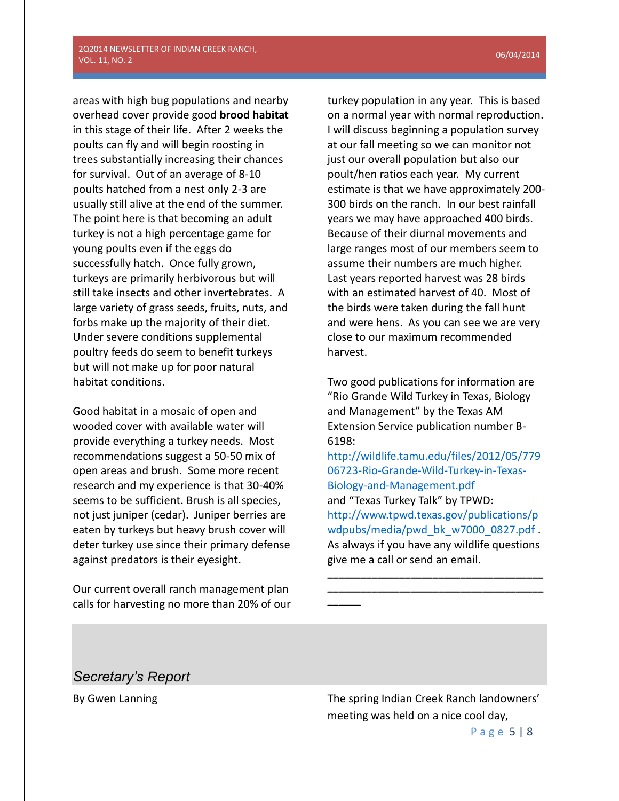areas with high bug populations and nearby overhead cover provide good **brood habitat** in this stage of their life. After 2 weeks the poults can fly and will begin roosting in trees substantially increasing their chances for survival. Out of an average of 8-10 poults hatched from a nest only 2-3 are usually still alive at the end of the summer. The point here is that becoming an adult turkey is not a high percentage game for young poults even if the eggs do successfully hatch. Once fully grown, turkeys are primarily herbivorous but will still take insects and other invertebrates. A large variety of grass seeds, fruits, nuts, and forbs make up the majority of their diet. Under severe conditions supplemental poultry feeds do seem to benefit turkeys but will not make up for poor natural habitat conditions.

Good habitat in a mosaic of open and wooded cover with available water will provide everything a turkey needs. Most recommendations suggest a 50-50 mix of open areas and brush. Some more recent research and my experience is that 30-40% seems to be sufficient. Brush is all species, not just juniper (cedar). Juniper berries are eaten by turkeys but heavy brush cover will deter turkey use since their primary defense against predators is their eyesight.

Our current overall ranch management plan calls for harvesting no more than 20% of our

turkey population in any year. This is based on a normal year with normal reproduction. I will discuss beginning a population survey at our fall meeting so we can monitor not just our overall population but also our poult/hen ratios each year. My current estimate is that we have approximately 200- 300 birds on the ranch. In our best rainfall years we may have approached 400 birds. Because of their diurnal movements and large ranges most of our members seem to assume their numbers are much higher. Last years reported harvest was 28 birds with an estimated harvest of 40. Most of the birds were taken during the fall hunt and were hens. As you can see we are very close to our maximum recommended harvest.

Two good publications for information are "Rio Grande Wild Turkey in Texas, Biology and Management" by the Texas AM Extension Service publication number B-6198:

[http://wildlife.tamu.edu/files/2012/05/779](http://wildlife.tamu.edu/files/2012/05/77906723-Rio-Grande-Wild-Turkey-in-Texas-Biology-and-Management.pdf) [06723-Rio-Grande-Wild-Turkey-in-Texas-](http://wildlife.tamu.edu/files/2012/05/77906723-Rio-Grande-Wild-Turkey-in-Texas-Biology-and-Management.pdf)[Biology-and-Management.pdf](http://wildlife.tamu.edu/files/2012/05/77906723-Rio-Grande-Wild-Turkey-in-Texas-Biology-and-Management.pdf) and "Texas Turkey Talk" by TPWD: [http://www.tpwd.texas.gov/publications/p](http://www.tpwd.texas.gov/publications/pwdpubs/media/pwd_bk_w7000_0827.pdf) [wdpubs/media/pwd\\_bk\\_w7000\\_0827.pdf](http://www.tpwd.texas.gov/publications/pwdpubs/media/pwd_bk_w7000_0827.pdf) . As always if you have any wildlife questions give me a call or send an email.

**\_\_\_\_\_\_\_\_\_\_\_\_\_\_\_\_\_\_\_\_\_\_\_\_\_\_\_\_\_\_\_\_\_\_\_\_\_\_\_ \_\_\_\_\_\_\_\_\_\_\_\_\_\_\_\_\_\_\_\_\_\_\_\_\_\_\_\_\_\_\_\_\_\_\_\_\_\_\_**

**\_\_\_\_\_\_**

# *Secretary's Report*

By Gwen Lanning The spring Indian Creek Ranch landowners' meeting was held on a nice cool day,

P a g e 5 | 8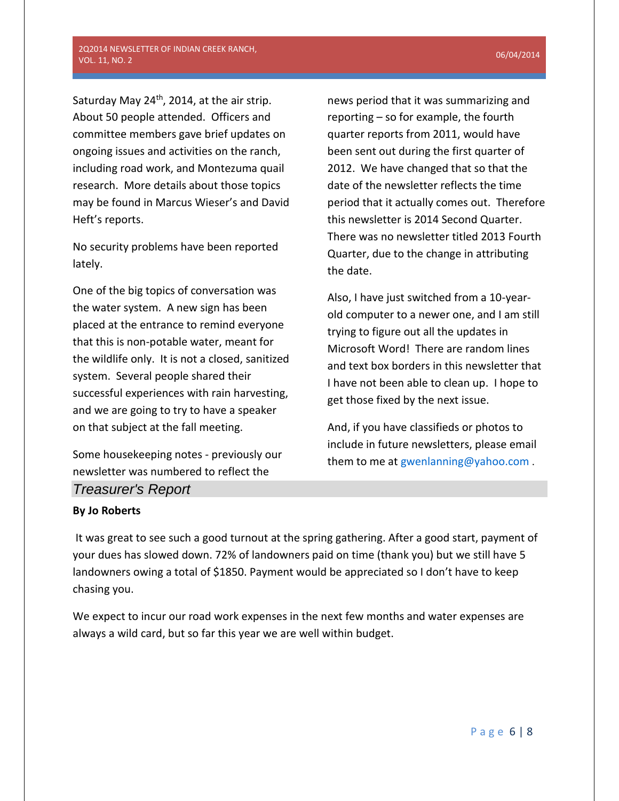Saturday May 24<sup>th</sup>, 2014, at the air strip. About 50 people attended. Officers and committee members gave brief updates on ongoing issues and activities on the ranch, including road work, and Montezuma quail research. More details about those topics may be found in Marcus Wieser's and David Heft's reports.

No security problems have been reported lately.

One of the big topics of conversation was the water system. A new sign has been placed at the entrance to remind everyone that this is non-potable water, meant for the wildlife only. It is not a closed, sanitized system. Several people shared their successful experiences with rain harvesting, and we are going to try to have a speaker on that subject at the fall meeting.

Some housekeeping notes - previously our newsletter was numbered to reflect the *Treasurer's Report*

news period that it was summarizing and reporting – so for example, the fourth quarter reports from 2011, would have been sent out during the first quarter of 2012. We have changed that so that the date of the newsletter reflects the time period that it actually comes out. Therefore this newsletter is 2014 Second Quarter. There was no newsletter titled 2013 Fourth Quarter, due to the change in attributing the date.

Also, I have just switched from a 10-yearold computer to a newer one, and I am still trying to figure out all the updates in Microsoft Word! There are random lines and text box borders in this newsletter that I have not been able to clean up. I hope to get those fixed by the next issue.

And, if you have classifieds or photos to include in future newsletters, please email them to me at [gwenlanning@yahoo.com](mailto:gwenlanning@yahoo.com).

## **By Jo Roberts**

It was great to see such a good turnout at the spring gathering. After a good start, payment of your dues has slowed down. 72% of landowners paid on time (thank you) but we still have 5 landowners owing a total of \$1850. Payment would be appreciated so I don't have to keep chasing you.

We expect to incur our road work expenses in the next few months and water expenses are always a wild card, but so far this year we are well within budget.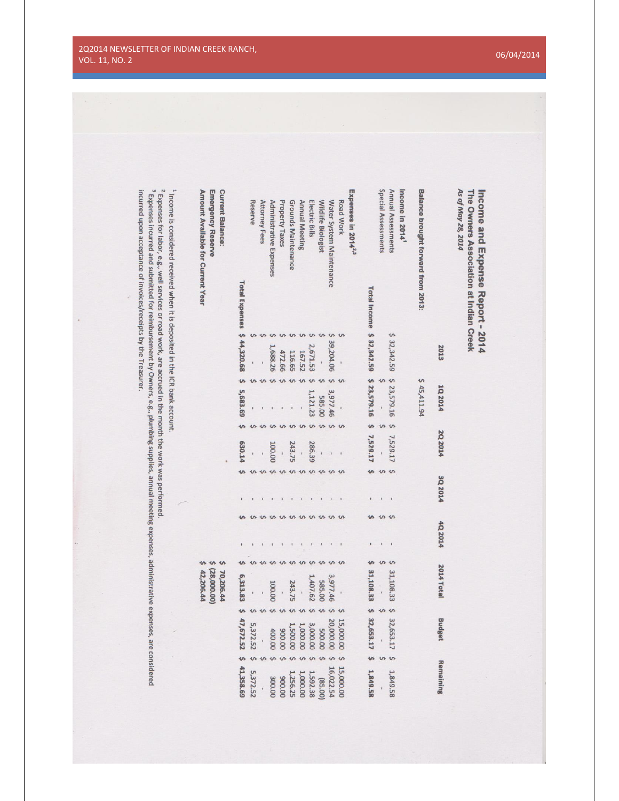| <sup>3</sup> Expenses incurred and submitted for reimbursement by Owners, e.g., plumbing supplies, annual meeting expenses, administrative expenses, are considered<br><sup>1</sup> Income is considered received when it is deposited in the ICR bank account.<br>incurred upon acceptance of invoices/receipts by the Treasurer.<br>Expenses for labor, e.g., well services or road work, are accrued in the month the work was performed | <b>Emergency Reserve</b><br>Amount Available for Current Year | <b>Current Balance:</b> | <b>Total Expenses</b>     | Reserve       | <b>Attorney Fees</b>                                | Administrative Expenses | <b>Property Taxes</b> | Grounds Maintenance    | <b>Annual Meeting</b><br>Electric Bills | Wildlife Biologist              | Water System Maintenance | Road Work      | Expenses in 2014 <sup>2,3</sup> |                           | Special Assessments                   | Annual Assessments<br>Income in 2014 <sup>1</sup> | Balance brought forward from 2013: |                   | As of May 28, 2014<br>The Owners Association at Indian Creek<br>Income and Expense Report - 2014 |  |
|---------------------------------------------------------------------------------------------------------------------------------------------------------------------------------------------------------------------------------------------------------------------------------------------------------------------------------------------------------------------------------------------------------------------------------------------|---------------------------------------------------------------|-------------------------|---------------------------|---------------|-----------------------------------------------------|-------------------------|-----------------------|------------------------|-----------------------------------------|---------------------------------|--------------------------|----------------|---------------------------------|---------------------------|---------------------------------------|---------------------------------------------------|------------------------------------|-------------------|--------------------------------------------------------------------------------------------------|--|
|                                                                                                                                                                                                                                                                                                                                                                                                                                             |                                                               |                         | \$44,320.68               | $\mathbf{I}$  | $\sim$                                              | ひ<br>1,688.26           | ひ<br>472.66           | $\mathbf{v}$<br>116.65 | $\mathbf{v}$<br>2,671.53<br>167.52      | ひ<br>$\hat{\mathbf{v}}$<br>T,   | ↜<br>39,204.06           |                |                                 | Total Income \$ 32,342.59 |                                       | \$32,342.59                                       |                                    | 2013              |                                                                                                  |  |
|                                                                                                                                                                                                                                                                                                                                                                                                                                             |                                                               |                         | $\mathbf{v}$<br>5,683.69  | S             | $\mathbf{v}$                                        | ぃ                       | $\Upsilon$            | $\mathbf{v}$           | $\mathbf{v}$                            | い<br>ひ<br>1,121.23<br>585.00    | $\mathbf{v}$<br>3,977.46 |                |                                 | \$23,579.16               |                                       | \$23,579.16                                       | \$45,411.94                        | 10,2014           |                                                                                                  |  |
|                                                                                                                                                                                                                                                                                                                                                                                                                                             |                                                               |                         | $\mathbf{v}$<br>630.14    |               |                                                     | $\sim$<br>100.00        |                       | 243.75                 | $\overline{\phantom{0}}$                | $\mathbf{v}$<br>286.39          |                          |                |                                 | $\bullet$<br>7,529.17     | $\frac{1}{2}$                         | 7,529.17                                          |                                    | 2Q 2014           |                                                                                                  |  |
|                                                                                                                                                                                                                                                                                                                                                                                                                                             |                                                               |                         | $\mathbf{v}$              | $\hat{v}$     | w w w w w w w w w<br><u>us us us us us us us us</u> |                         | $\mathbf{1}$          | $\,$ $\,$              | $\,$ $\,$<br>$\,$ t                     | $\mathbf{r}$                    |                          |                |                                 | $\mathbf{v}$<br>ひ         | $v \sim v$<br>$\,$ $\,$<br><b>v</b> v | $\blacksquare$                                    |                                    | 3Q 2014           |                                                                                                  |  |
|                                                                                                                                                                                                                                                                                                                                                                                                                                             | S<br>¢                                                        | $\mathbf{v}$            | s                         |               | Ş                                                   | ぃ                       | ひ                     | ひ                      | $\mathbf{1}$<br>ひ                       | ぃ<br>$\sim$                     |                          |                |                                 | s                         | $\hat{\mathbf{v}}$                    | $\hat{\zeta}$                                     |                                    | 4Q 2014           |                                                                                                  |  |
|                                                                                                                                                                                                                                                                                                                                                                                                                                             | (28,000.00)<br>42,206.44                                      | 70,206.44               | 6,313.83                  |               |                                                     | 100.00                  |                       | 243.75                 | 1,407.62<br>$\ddot{\phantom{0}}$        | 585.00                          | 3,977.46                 |                |                                 | 31,108.33                 |                                       | 31,108.33                                         |                                    | <b>2014 Total</b> |                                                                                                  |  |
|                                                                                                                                                                                                                                                                                                                                                                                                                                             |                                                               |                         | $\mathbf{v}$<br>47,672.52 | 5,372.52      |                                                     | 400.00                  | 00'006                | ひ<br>1,500.00          | $\mathbf{v}$<br>3,000.00<br>1,000.00    | $\omega$<br>500.00              | 20,000.00                | 15,000.00      |                                 | \$ 32,653.17              | か                                     | $\mathfrak{S}$<br>32,653.17                       |                                    | <b>Budget</b>     |                                                                                                  |  |
|                                                                                                                                                                                                                                                                                                                                                                                                                                             |                                                               |                         | s<br>41,358.69            | S<br>5,372.52 | $\Omega$                                            | $\Omega$<br>300.00      | ひ<br>00'006           | $\sim$<br>1,256.25     | い<br>$\Omega$<br>1,000.00               | $\omega$<br>1,592.38<br>(85.00) | 16,022.54                | S<br>15,000.00 |                                 | $\mathbf{v}$<br>1,849.58  | $\hat{v}$                             | $\check{S}$<br>1,849.58                           |                                    | Remaining         |                                                                                                  |  |